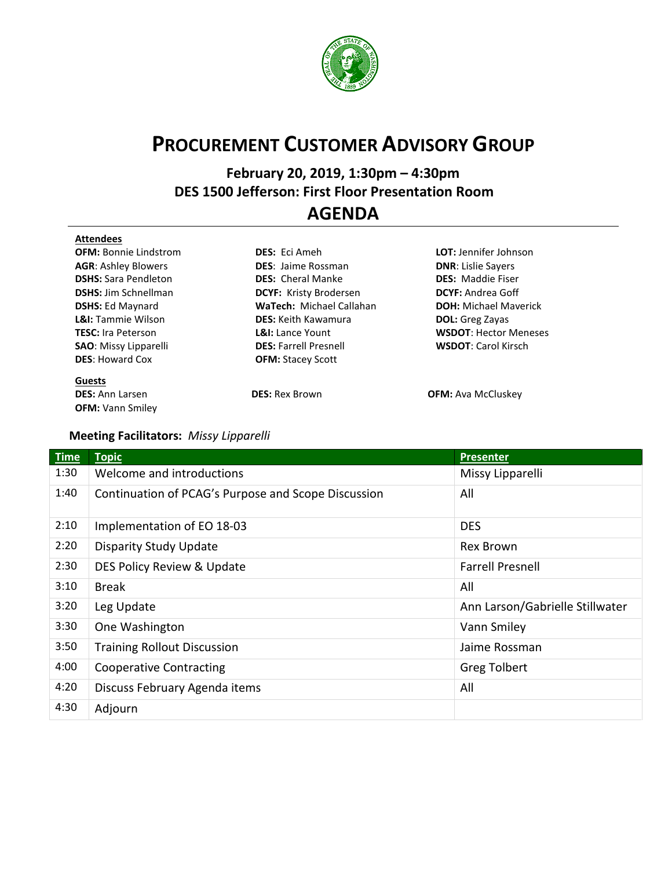

## **PROCUREMENT CUSTOMER ADVISORY GROUP**

**February 20, 2019, 1:30pm – 4:30pm DES 1500 Jefferson: First Floor Presentation Room** …. **AGENDA**

## **Attendees**

**OFM:** Bonnie Lindstrom **DES:** Eci Ameh **LOT:** Jennifer Johnson **AGR**: Ashley Blowers **DES**: Jaime Rossman **DNR**: Lislie Sayers **DSHS:** Sara Pendleton **DES:** Cheral Manke **DES:** Maddie Fiser **DES:** Howard Cox **OFM:** Stacey Scott

**Guests OFM:** Vann Smiley

**DSHS:** Jim Schnellman **DCYF:** Kristy Brodersen **DCYF:** Andrea Goff **DSHS:** Ed Maynard **WaTech:** Michael Callahan **DOH:** Michael Maverick **L&I:** Tammie Wilson **DES:** Keith Kawamura **DOL:** Greg Zayas **TESC:** Ira Peterson **L&I:** Lance Yount **WSDOT**: Hector Meneses **SAO**: Missy Lipparelli **DES:** Farrell Presnell **WSDOT**: Carol Kirsch

**DES:** Ann Larsen **DES: DES:** Rex Brown **DES: OFM:** Ava McCluskey

## **Meeting Facilitators:** *Missy Lipparelli*

| <b>Time</b> | <b>Topic</b>                                        | <b>Presenter</b>                |  |
|-------------|-----------------------------------------------------|---------------------------------|--|
| 1:30        | Welcome and introductions                           | Missy Lipparelli                |  |
| 1:40        | Continuation of PCAG's Purpose and Scope Discussion | All                             |  |
| 2:10        | Implementation of EO 18-03                          | <b>DES</b>                      |  |
| 2:20        | <b>Disparity Study Update</b>                       | Rex Brown                       |  |
| 2:30        | DES Policy Review & Update                          | <b>Farrell Presnell</b>         |  |
| 3:10        | <b>Break</b>                                        | All                             |  |
| 3:20        | Leg Update                                          | Ann Larson/Gabrielle Stillwater |  |
| 3:30        | One Washington                                      | Vann Smiley                     |  |
| 3:50        | <b>Training Rollout Discussion</b>                  | Jaime Rossman                   |  |
| 4:00        | <b>Cooperative Contracting</b>                      | <b>Greg Tolbert</b>             |  |
| 4:20        | Discuss February Agenda items                       | All                             |  |
| 4:30        | Adjourn                                             |                                 |  |